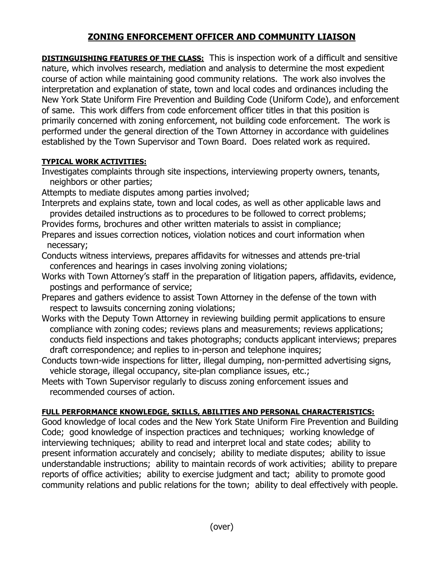## **ZONING ENFORCEMENT OFFICER AND COMMUNITY LIAISON**

**DISTINGUISHING FEATURES OF THE CLASS:** This is inspection work of a difficult and sensitive nature, which involves research, mediation and analysis to determine the most expedient course of action while maintaining good community relations. The work also involves the interpretation and explanation of state, town and local codes and ordinances including the New York State Uniform Fire Prevention and Building Code (Uniform Code), and enforcement of same. This work differs from code enforcement officer titles in that this position is primarily concerned with zoning enforcement, not building code enforcement. The work is performed under the general direction of the Town Attorney in accordance with guidelines established by the Town Supervisor and Town Board. Does related work as required.

## **TYPICAL WORK ACTIVITIES:**

Investigates complaints through site inspections, interviewing property owners, tenants, neighbors or other parties;

Attempts to mediate disputes among parties involved;

Interprets and explains state, town and local codes, as well as other applicable laws and provides detailed instructions as to procedures to be followed to correct problems;

Provides forms, brochures and other written materials to assist in compliance;

Prepares and issues correction notices, violation notices and court information when necessary;

- Conducts witness interviews, prepares affidavits for witnesses and attends pre-trial conferences and hearings in cases involving zoning violations;
- Works with Town Attorney's staff in the preparation of litigation papers, affidavits, evidence, postings and performance of service;
- Prepares and gathers evidence to assist Town Attorney in the defense of the town with respect to lawsuits concerning zoning violations;
- Works with the Deputy Town Attorney in reviewing building permit applications to ensure compliance with zoning codes; reviews plans and measurements; reviews applications; conducts field inspections and takes photographs; conducts applicant interviews; prepares draft correspondence; and replies to in-person and telephone inquires;
- Conducts town-wide inspections for litter, illegal dumping, non-permitted advertising signs, vehicle storage, illegal occupancy, site-plan compliance issues, etc.;
- Meets with Town Supervisor regularly to discuss zoning enforcement issues and recommended courses of action.

## **FULL PERFORMANCE KNOWLEDGE, SKILLS, ABILITIES AND PERSONAL CHARACTERISTICS:**

Good knowledge of local codes and the New York State Uniform Fire Prevention and Building Code; good knowledge of inspection practices and techniques; working knowledge of interviewing techniques; ability to read and interpret local and state codes; ability to present information accurately and concisely; ability to mediate disputes; ability to issue understandable instructions; ability to maintain records of work activities; ability to prepare reports of office activities; ability to exercise judgment and tact; ability to promote good community relations and public relations for the town; ability to deal effectively with people.